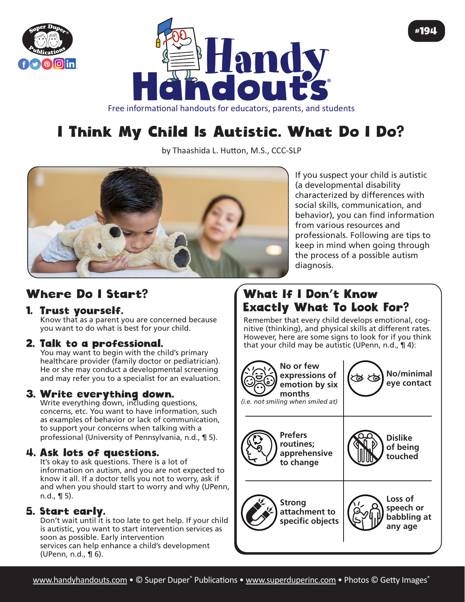



Free informational handouts for educators, parents, and students

# I Think My Child Is Autistic. What Do I Do?

by Thaashida L. Hutton, M.S., CCC-SLP



If you suspect your child is autistic (a developmental disability characterized by differences with social skills, communication, and behavior), you can find information from various resources and professionals. Following are tips to keep in mind when going through the process of a possible autism diagnosis.

#194

# Where Do I Start?

### 1. Trust yourself.

Know that as a parent you are concerned because you want to do what is best for your child.

### 2. Talk to a professional.

You may want to begin with the child's primary healthcare provider (family doctor or pediatrician). He or she may conduct a developmental screening and may refer you to a specialist for an evaluation.

### 3. Write everything down.

Write everything down, including questions, concerns, etc. You want to have information, such as examples of behavior or lack of communication, to support your concerns when talking with a professional (University of Pennsylvania, n.d., ¶ 5).

#### 4. Ask lots of questions.

It's okay to ask questions. There is a lot of information on autism, and you are not expected to know it all. If a doctor tells you not to worry, ask if and when you should start to worry and why (UPenn, n.d.,  $\P$  5).

#### 5. Start early.

Don't wait until it is too late to get help. If your child is autistic, you want to start intervention services as soon as possible. Early intervention services can help enhance a child's development (UPenn, n.d., ¶ 6).

# What If I Don't Know Exactly What To Look For?

Remember that every child develops emotional, cognitive (thinking), and physical skills at different rates. However, here are some signs to look for if you think that your child may be autistic (UPenn, n.d.,  $\P$  4):